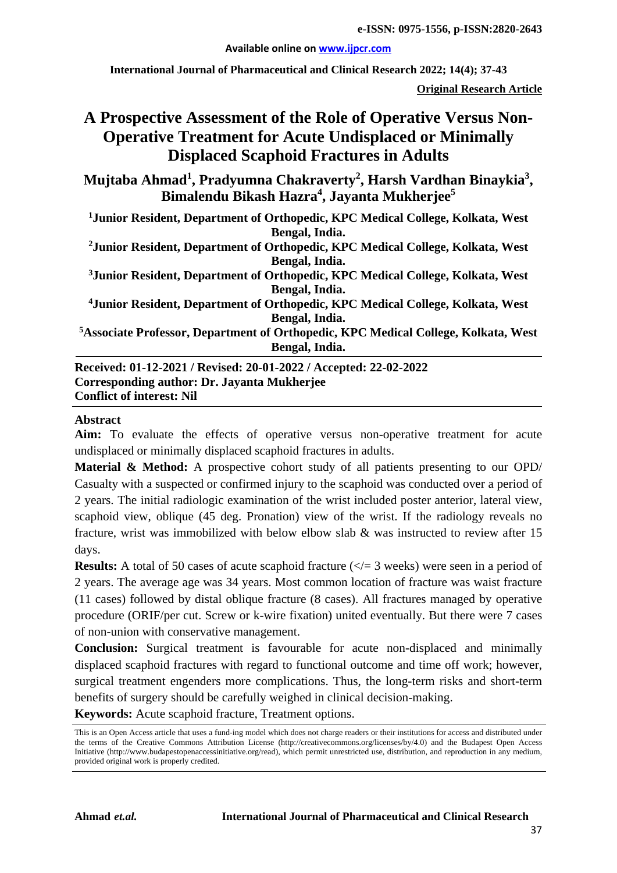**Available online on [www.ijpcr.com](http://www.ijpcr.com/)**

**International Journal of Pharmaceutical and Clinical Research 2022; 14(4); 37-43**

**Original Research Article**

# **A Prospective Assessment of the Role of Operative Versus Non-Operative Treatment for Acute Undisplaced or Minimally Displaced Scaphoid Fractures in Adults**

**Mujtaba Ahmad<sup>1</sup> , Pradyumna Chakraverty<sup>2</sup> , Harsh Vardhan Binaykia3 , Bimalendu Bikash Hazra<sup>4</sup> , Jayanta Mukherjee5**

**1 Junior Resident, Department of Orthopedic, KPC Medical College, Kolkata, West Bengal, India.**

**2Junior Resident, Department of Orthopedic, KPC Medical College, Kolkata, West Bengal, India.**

**3 Junior Resident, Department of Orthopedic, KPC Medical College, Kolkata, West Bengal, India.**

**4Junior Resident, Department of Orthopedic, KPC Medical College, Kolkata, West Bengal, India.**

**5 Associate Professor, Department of Orthopedic, KPC Medical College, Kolkata, West Bengal, India.**

**Received: 01-12-2021 / Revised: 20-01-2022 / Accepted: 22-02-2022 Corresponding author: Dr. Jayanta Mukherjee Conflict of interest: Nil**

#### **Abstract**

**Aim:** To evaluate the effects of operative versus non-operative treatment for acute undisplaced or minimally displaced scaphoid fractures in adults.

**Material & Method:** A prospective cohort study of all patients presenting to our OPD/ Casualty with a suspected or confirmed injury to the scaphoid was conducted over a period of 2 years. The initial radiologic examination of the wrist included poster anterior, lateral view, scaphoid view, oblique (45 deg. Pronation) view of the wrist. If the radiology reveals no fracture, wrist was immobilized with below elbow slab & was instructed to review after 15 days.

**Results:** A total of 50 cases of acute scaphoid fracture  $(\langle \rangle = 3 \rangle$  weeks) were seen in a period of 2 years. The average age was 34 years. Most common location of fracture was waist fracture (11 cases) followed by distal oblique fracture (8 cases). All fractures managed by operative procedure (ORIF/per cut. Screw or k-wire fixation) united eventually. But there were 7 cases of non-union with conservative management.

**Conclusion:** Surgical treatment is favourable for acute non-displaced and minimally displaced scaphoid fractures with regard to functional outcome and time off work; however, surgical treatment engenders more complications. Thus, the long-term risks and short-term benefits of surgery should be carefully weighed in clinical decision-making.

**Keywords:** Acute scaphoid fracture, Treatment options.

This is an Open Access article that uses a fund-ing model which does not charge readers or their institutions for access and distributed under the terms of the Creative Commons Attribution License (http://creativecommons.org/licenses/by/4.0) and the Budapest Open Access Initiative (http://www.budapestopenaccessinitiative.org/read), which permit unrestricted use, distribution, and reproduction in any medium, provided original work is properly credited.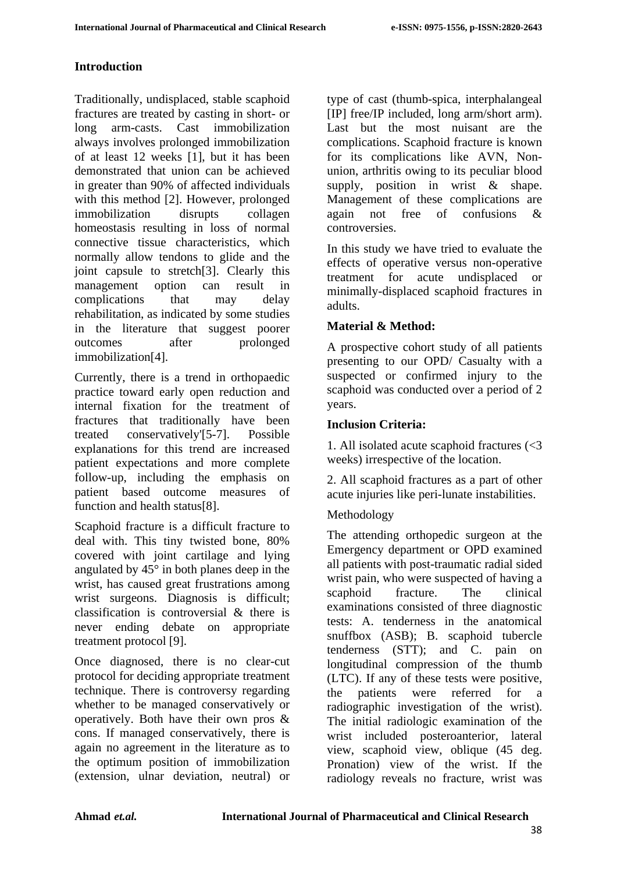# **Introduction**

Traditionally, undisplaced, stable scaphoid fractures are treated by casting in short- or long arm-casts. Cast immobilization always involves prolonged immobilization of at least 12 weeks [1], but it has been demonstrated that union can be achieved in greater than 90% of affected individuals with this method [2]. However, prolonged immobilization disrupts collagen homeostasis resulting in loss of normal connective tissue characteristics, which normally allow tendons to glide and the joint capsule to stretch[3]. Clearly this management option can result in complications that may delay rehabilitation, as indicated by some studies in the literature that suggest poorer outcomes after prolonged immobilization[4].

Currently, there is a trend in orthopaedic practice toward early open reduction and internal fixation for the treatment of fractures that traditionally have been treated conservatively'[5-7]. Possible explanations for this trend are increased patient expectations and more complete follow-up, including the emphasis on patient based outcome measures of function and health status[8].

Scaphoid fracture is a difficult fracture to deal with. This tiny twisted bone, 80% covered with joint cartilage and lying angulated by 45° in both planes deep in the wrist, has caused great frustrations among wrist surgeons. Diagnosis is difficult; classification is controversial & there is never ending debate on appropriate treatment protocol [9].

Once diagnosed, there is no clear-cut protocol for deciding appropriate treatment technique. There is controversy regarding whether to be managed conservatively or operatively. Both have their own pros & cons. If managed conservatively, there is again no agreement in the literature as to the optimum position of immobilization (extension, ulnar deviation, neutral) or type of cast (thumb-spica, interphalangeal [IP] free/IP included, long arm/short arm). Last but the most nuisant are the complications. Scaphoid fracture is known for its complications like AVN, Nonunion, arthritis owing to its peculiar blood supply, position in wrist & shape. Management of these complications are again not free of confusions & controversies.

In this study we have tried to evaluate the effects of operative versus non-operative treatment for acute undisplaced or minimally-displaced scaphoid fractures in adults.

### **Material & Method:**

A prospective cohort study of all patients presenting to our OPD/ Casualty with a suspected or confirmed injury to the scaphoid was conducted over a period of 2 years.

# **Inclusion Criteria:**

1. All isolated acute scaphoid fractures (<3 weeks) irrespective of the location.

2. All scaphoid fractures as a part of other acute injuries like peri-lunate instabilities.

# Methodology

The attending orthopedic surgeon at the Emergency department or OPD examined all patients with post-traumatic radial sided wrist pain, who were suspected of having a scaphoid fracture. The clinical examinations consisted of three diagnostic tests: A. tenderness in the anatomical snuffbox (ASB); B. scaphoid tubercle tenderness (STT); and C. pain on longitudinal compression of the thumb (LTC). If any of these tests were positive, the patients were referred for a radiographic investigation of the wrist). The initial radiologic examination of the wrist included posteroanterior, lateral view, scaphoid view, oblique (45 deg. Pronation) view of the wrist. If the radiology reveals no fracture, wrist was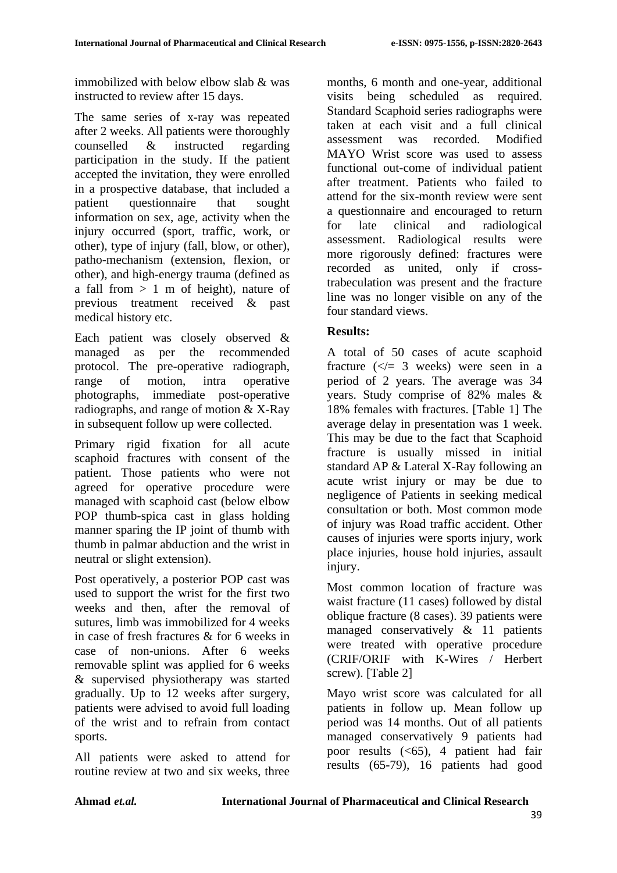immobilized with below elbow slab & was instructed to review after 15 days.

The same series of x-ray was repeated after 2 weeks. All patients were thoroughly counselled & instructed regarding participation in the study. If the patient accepted the invitation, they were enrolled in a prospective database, that included a patient questionnaire that sought information on sex, age, activity when the injury occurred (sport, traffic, work, or other), type of injury (fall, blow, or other), patho-mechanism (extension, flexion, or other), and high-energy trauma (defined as a fall from  $> 1$  m of height), nature of previous treatment received & past medical history etc.

Each patient was closely observed & managed as per the recommended protocol. The pre-operative radiograph, range of motion, intra operative photographs, immediate post-operative radiographs, and range of motion & X-Ray in subsequent follow up were collected.

Primary rigid fixation for all acute scaphoid fractures with consent of the patient. Those patients who were not agreed for operative procedure were managed with scaphoid cast (below elbow POP thumb-spica cast in glass holding manner sparing the IP joint of thumb with thumb in palmar abduction and the wrist in neutral or slight extension).

Post operatively, a posterior POP cast was used to support the wrist for the first two weeks and then, after the removal of sutures, limb was immobilized for 4 weeks in case of fresh fractures & for 6 weeks in case of non-unions. After 6 weeks removable splint was applied for 6 weeks & supervised physiotherapy was started gradually. Up to 12 weeks after surgery, patients were advised to avoid full loading of the wrist and to refrain from contact sports.

All patients were asked to attend for routine review at two and six weeks, three months, 6 month and one-year, additional visits being scheduled as required. Standard Scaphoid series radiographs were taken at each visit and a full clinical assessment was recorded. Modified MAYO Wrist score was used to assess functional out-come of individual patient after treatment. Patients who failed to attend for the six-month review were sent a questionnaire and encouraged to return for late clinical and radiological assessment. Radiological results were more rigorously defined: fractures were recorded as united, only if crosstrabeculation was present and the fracture line was no longer visible on any of the four standard views.

#### **Results:**

A total of 50 cases of acute scaphoid fracture  $(\leq 3$  weeks) were seen in a period of 2 years. The average was 34 years. Study comprise of 82% males & 18% females with fractures. [Table 1] The average delay in presentation was 1 week. This may be due to the fact that Scaphoid fracture is usually missed in initial standard AP & Lateral X-Ray following an acute wrist injury or may be due to negligence of Patients in seeking medical consultation or both. Most common mode of injury was Road traffic accident. Other causes of injuries were sports injury, work place injuries, house hold injuries, assault injury.

Most common location of fracture was waist fracture (11 cases) followed by distal oblique fracture (8 cases). 39 patients were managed conservatively & 11 patients were treated with operative procedure (CRIF/ORIF with K-Wires / Herbert screw). [Table 2]

Mayo wrist score was calculated for all patients in follow up. Mean follow up period was 14 months. Out of all patients managed conservatively 9 patients had poor results  $( $65$ ), 4 patient had fair$ results (65-79), 16 patients had good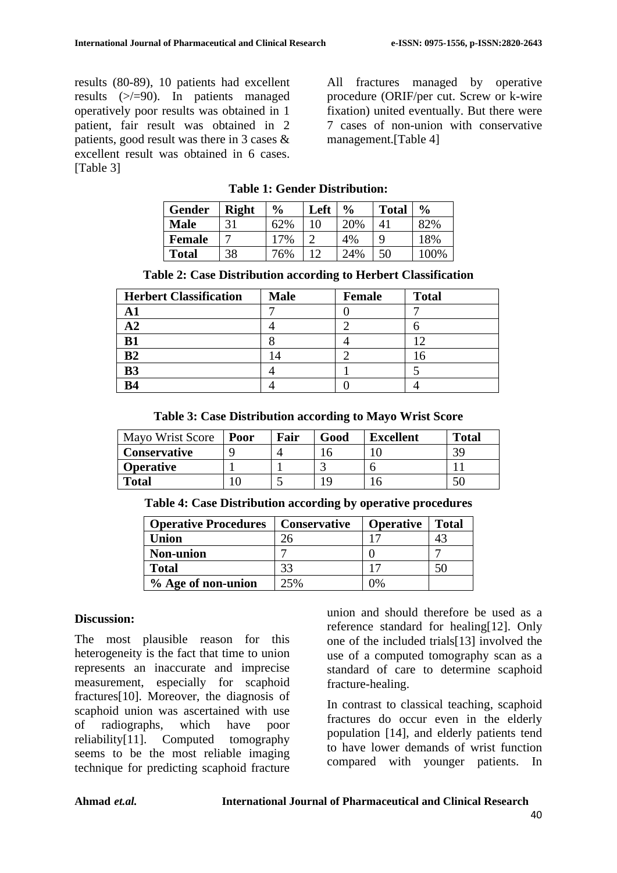results (80-89), 10 patients had excellent results (>/=90). In patients managed operatively poor results was obtained in 1 patient, fair result was obtained in 2 patients, good result was there in 3 cases & excellent result was obtained in 6 cases. [Table 3]

All fractures managed by operative procedure (ORIF/per cut. Screw or k-wire fixation) united eventually. But there were 7 cases of non-union with conservative management.[Table 4]

|  |  | <b>Table 1: Gender Distribution:</b> |
|--|--|--------------------------------------|
|--|--|--------------------------------------|

| <b>Gender</b> | <b>Right</b> | $\frac{6}{9}$ | Left | $\frac{6}{6}$ | <b>Total</b> | $\frac{0}{0}$ |
|---------------|--------------|---------------|------|---------------|--------------|---------------|
| <b>Male</b>   |              | 62%           |      | 20%           | 4            | 82%           |
| <b>Female</b> |              | 17%           |      | 4%            | Q            | 18%           |
| <b>Total</b>  | 38           | 76%           |      | 24%           | 50           | 100%          |

| <b>Herbert Classification</b> | <b>Male</b> | Female | <b>Total</b> |
|-------------------------------|-------------|--------|--------------|
|                               |             |        |              |
| 8 Z                           |             |        |              |
| B1                            |             |        |              |
| B <sub>2</sub>                | 4           |        |              |
| <b>B3</b>                     |             |        |              |
| B4                            |             |        |              |

**Table 3: Case Distribution according to Mayo Wrist Score**

| <b>Mayo Wrist Score</b> | Poor | Fair | Good | <b>Excellent</b> | <b>Total</b> |
|-------------------------|------|------|------|------------------|--------------|
| <b>Conservative</b>     |      |      |      |                  |              |
| <b>Operative</b>        |      |      |      |                  |              |
| <b>Total</b>            |      |      |      |                  |              |

|  | Table 4: Case Distribution according by operative procedures |  |  |
|--|--------------------------------------------------------------|--|--|
|  |                                                              |  |  |

| <b>Operative Procedures</b> | <b>Conservative</b> | <b>Operative</b> | <b>Total</b> |
|-----------------------------|---------------------|------------------|--------------|
| Union                       |                     |                  |              |
| <b>Non-union</b>            |                     |                  |              |
| <b>Total</b>                | 33                  |                  |              |
| % Age of non-union          | 25%                 |                  |              |

#### **Discussion:**

The most plausible reason for this heterogeneity is the fact that time to union represents an inaccurate and imprecise measurement, especially for scaphoid fractures[10]. Moreover, the diagnosis of scaphoid union was ascertained with use of radiographs, which have poor reliability[11]. Computed tomography seems to be the most reliable imaging technique for predicting scaphoid fracture union and should therefore be used as a reference standard for healing[12]. Only one of the included trials[13] involved the use of a computed tomography scan as a standard of care to determine scaphoid fracture-healing.

In contrast to classical teaching, scaphoid fractures do occur even in the elderly population [14], and elderly patients tend to have lower demands of wrist function compared with younger patients. In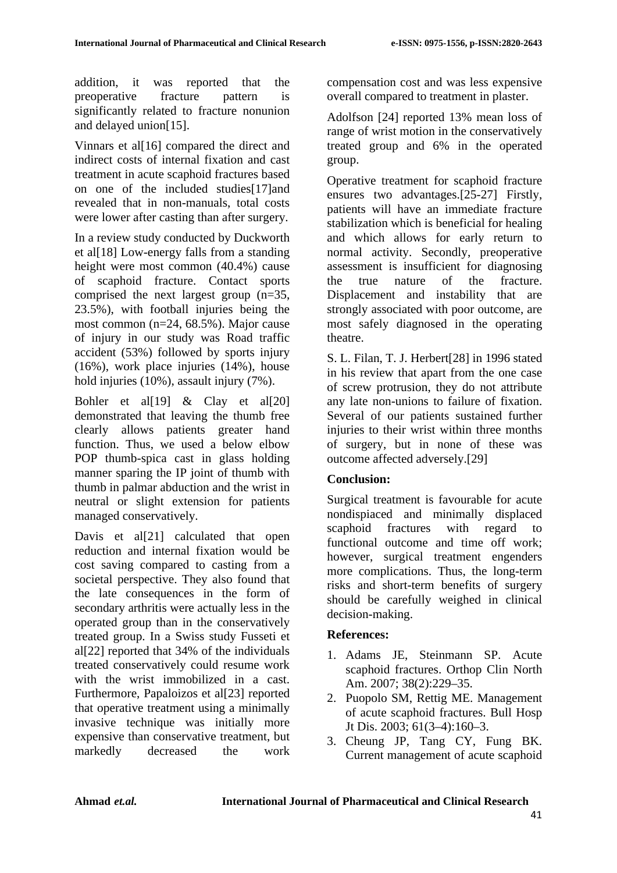addition, it was reported that the preoperative fracture pattern is significantly related to fracture nonunion and delayed union[15].

Vinnars et al<sup>[16]</sup> compared the direct and indirect costs of internal fixation and cast treatment in acute scaphoid fractures based on one of the included studies[17]and revealed that in non-manuals, total costs were lower after casting than after surgery.

In a review study conducted by Duckworth et al[18] Low-energy falls from a standing height were most common (40.4%) cause of scaphoid fracture. Contact sports comprised the next largest group (n=35, 23.5%), with football injuries being the most common (n=24, 68.5%). Major cause of injury in our study was Road traffic accident (53%) followed by sports injury (16%), work place injuries (14%), house hold injuries (10%), assault injury (7%).

Bohler et al[19] & Clay et al[20] demonstrated that leaving the thumb free clearly allows patients greater hand function. Thus, we used a below elbow POP thumb-spica cast in glass holding manner sparing the IP joint of thumb with thumb in palmar abduction and the wrist in neutral or slight extension for patients managed conservatively.

Davis et al<sup>[21]</sup> calculated that open reduction and internal fixation would be cost saving compared to casting from a societal perspective. They also found that the late consequences in the form of secondary arthritis were actually less in the operated group than in the conservatively treated group. In a Swiss study Fusseti et al[22] reported that 34% of the individuals treated conservatively could resume work with the wrist immobilized in a cast. Furthermore, Papaloizos et al[23] reported that operative treatment using a minimally invasive technique was initially more expensive than conservative treatment, but markedly decreased the work

compensation cost and was less expensive overall compared to treatment in plaster.

Adolfson [24] reported 13% mean loss of range of wrist motion in the conservatively treated group and 6% in the operated group.

Operative treatment for scaphoid fracture ensures two advantages.[25-27] Firstly, patients will have an immediate fracture stabilization which is beneficial for healing and which allows for early return to normal activity. Secondly, preoperative assessment is insufficient for diagnosing the true nature of the fracture. Displacement and instability that are strongly associated with poor outcome, are most safely diagnosed in the operating theatre.

S. L. Filan, T. J. Herbert[28] in 1996 stated in his review that apart from the one case of screw protrusion, they do not attribute any late non-unions to failure of fixation. Several of our patients sustained further injuries to their wrist within three months of surgery, but in none of these was outcome affected adversely.[29]

# **Conclusion:**

Surgical treatment is favourable for acute nondispiaced and minimally displaced scaphoid fractures with regard to functional outcome and time off work; however, surgical treatment engenders more complications. Thus, the long-term risks and short-term benefits of surgery should be carefully weighed in clinical decision-making.

#### **References:**

- 1. Adams JE, Steinmann SP. Acute scaphoid fractures. Orthop Clin North Am. 2007; 38(2):229–35.
- 2. Puopolo SM, Rettig ME. Management of acute scaphoid fractures. Bull Hosp Jt Dis. 2003; 61(3–4):160–3.
- 3. Cheung JP, Tang CY, Fung BK. Current management of acute scaphoid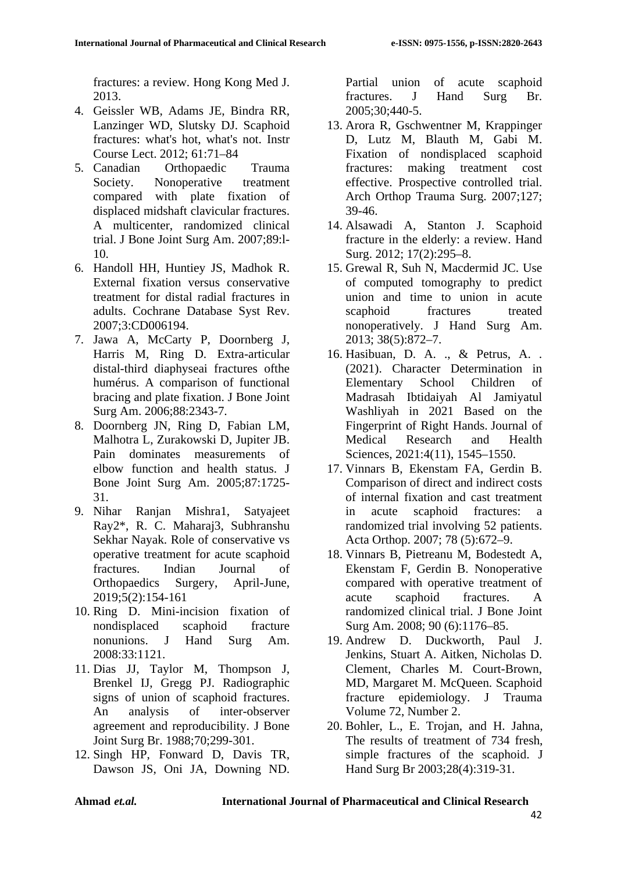fractures: a review. Hong Kong Med J. 2013.

- 4. Geissler WB, Adams JE, Bindra RR, Lanzinger WD, Slutsky DJ. Scaphoid fractures: what's hot, what's not. Instr Course Lect. 2012; 61:71–84
- 5. Canadian Orthopaedic Trauma Society. Nonoperative treatment compared with plate fixation of displaced midshaft clavicular fractures. A multicenter, randomized clinical trial. J Bone Joint Surg Am. 2007;89:l-10.
- 6. Handoll HH, Huntiey JS, Madhok R. External fixation versus conservative treatment for distal radial fractures in adults. Cochrane Database Syst Rev. 2007;3:CD006194.
- 7. Jawa A, McCarty P, Doornberg J, Harris M, Ring D. Extra-articular distal-third diaphyseai fractures ofthe humérus. A comparison of functional bracing and plate fixation. J Bone Joint Surg Am. 2006;88:2343-7.
- 8. Doornberg JN, Ring D, Fabian LM, Malhotra L, Zurakowski D, Jupiter JB. Pain dominates measurements of elbow function and health status. J Bone Joint Surg Am. 2005;87:1725- 31.
- 9. Nihar Ranjan Mishra1, Satyajeet Ray2\*, R. C. Maharaj3, Subhranshu Sekhar Nayak. Role of conservative vs operative treatment for acute scaphoid fractures. Indian Journal of Orthopaedics Surgery, April-June, 2019;5(2):154-161
- 10. Ring D. Mini-incision fixation of nondisplaced scaphoid fracture nonunions. J Hand Surg Am. 2008:33:1121.
- 11. Dias JJ, Taylor M, Thompson J, Brenkel IJ, Gregg PJ. Radiographic signs of union of scaphoid fractures. An analysis of inter-observer agreement and reproducibility. J Bone Joint Surg Br. 1988;70;299-301.
- 12. Singh HP, Fonward D, Davis TR, Dawson JS, Oni JA, Downing ND.

Partial union of acute scaphoid fractures. J Hand Surg Br. 2005;30;440-5.

- 13. Arora R, Gschwentner M, Krappinger D, Lutz M, Blauth M, Gabi M. Fixation of nondisplaced scaphoid fractures: making treatment cost effective. Prospective controlled trial. Arch Orthop Trauma Surg. 2007;127; 39-46.
- 14. Alsawadi A, Stanton J. Scaphoid fracture in the elderly: a review. Hand Surg. 2012; 17(2):295–8.
- 15. Grewal R, Suh N, Macdermid JC. Use of computed tomography to predict union and time to union in acute scaphoid fractures treated nonoperatively. J Hand Surg Am. 2013; 38(5):872–7.
- 16. Hasibuan, D. A. ., & Petrus, A. . (2021). Character Determination in Elementary School Children of Madrasah Ibtidaiyah Al Jamiyatul Washliyah in 2021 Based on the Fingerprint of Right Hands. Journal of Medical Research and Health Sciences, 2021:4(11), 1545–1550.
- 17. Vinnars B, Ekenstam FA, Gerdin B. Comparison of direct and indirect costs of internal fixation and cast treatment in acute scaphoid fractures: a randomized trial involving 52 patients. Acta Orthop. 2007; 78 (5):672–9.
- 18. Vinnars B, Pietreanu M, Bodestedt A, Ekenstam F, Gerdin B. Nonoperative compared with operative treatment of acute scaphoid fractures. A randomized clinical trial. J Bone Joint Surg Am. 2008; 90 (6):1176–85.
- 19. Andrew D. Duckworth, Paul J. Jenkins, Stuart A. Aitken, Nicholas D. Clement, Charles M. Court-Brown, MD, Margaret M. McQueen. Scaphoid fracture epidemiology. J Trauma Volume 72, Number 2.
- 20. Bohler, L., E. Trojan, and H. Jahna, The results of treatment of 734 fresh, simple fractures of the scaphoid. J Hand Surg Br 2003;28(4):319-31.